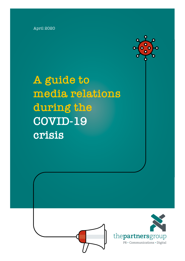April 2020



**A guide to media relations during the COVID-19 crisis**

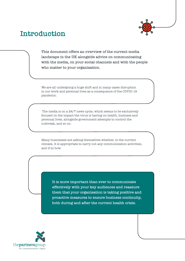

### **Introduction**

**This document offers an overview of the current media landscape in the UK alongside advice on communicating with the media, on your social channels and with the people who matter to your organisation.**

We are all undergoing a huge shift and in many cases disruption in our work and personal lives as a consequence of the COVID-19 pandemic.

 The media is on a 24/7 news cycle, which seems to be exclusively focused on the impact the virus is having on health, business and personal lives, alongside government attempts to control the outbreak, and so on.

Many businesses are asking themselves whether, in the current climate, it is appropriate to carry out any communication activities, and if so how.

> **It is more important than ever to communicate effectively with your key audiences and reassure them that your organisation is taking positive and proactive measures to ensure business continuity, both during and after the current health crisis.**

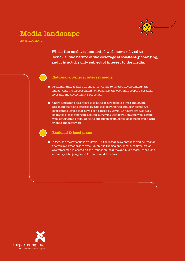

### **Media landscape**

As of April 2020

**Whilst the media is dominated with news related to Covid-19, the nature of the coverage is constantly changing, and it is not the only subject of interest to the media.**

#### **National & general interest media**

- $\blacksquare$  Predominantly focused on the latest Covid-19 related developments, the impact that the virus is having on business, the economy, people's personal lives and the government's response.
- $\blacksquare$  There appears to be a move to looking at how people's lives and habits are changing/being affected by this lockdown period and how people are overcoming issues that have been caused by Covid-19. There are also a lot of advice pieces emerging around 'surviving lockdown': staying well, eating well, entertaining kids, working effectively from home, keeping in touch with friends and family etc.

#### **Regional & local press**

Again, the major focus is on Covid-19, the latest developments and figures for the relevant readership area. Much like the national media, regional titles are interested in assessing the impact on local life and businesses. There isn't currently a huge appetite for non-Covid-19 news.

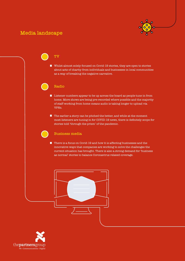### **Media landscape**



### **TV**

Whilst almost solely focused on Covid-19 stories, they are open to stories about acts of charity from individuals and businesses in local communities as a way of breaking the negative narrative.

#### **Radio**

- $\blacksquare$  Listener numbers appear to be up across the board as people tune in from home. More shows are being pre-recorded where possible and the majority of staff working from home means audio is taking longer to upload via VPNs.
- $\blacksquare$  The earlier a story can be pitched the better, and while at the moment most listeners are tuning in for COVID-19 news, there is definitely scope for stories told 'through the prism' of the pandemic.

#### **Business media**

■ There is a focus on Covid-19 and how it is affecting businesses and the innovative ways that companies are working to solve the challenges the current situation has brought. There is also a strong demand for 'business as normal' stories to balance Coronavirus related coverage.

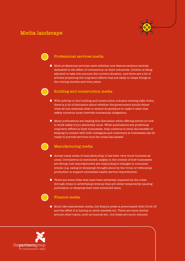### **Media landscape**



#### **Professional services media**

 $\blacksquare$  Most professional services news websites now feature sections entirely dedicated to the effect of coronavirus on their industries. Content is being adjusted to take into account the current situation, and there are a lot of articles projecting the long-term effects that are likely to shape things in the coming months and even years.

#### **Building and construction media**

- With activity in the building and construction industry slowing right down, there is a lot of discussion about whether the government should either close all non-essential sites or amend its guidance to make it clear that safety concerns must override contractual obligations.
- Many publications are leading this discussion while offering advice on how to work safely if you absolutely must. While publications are predicting long-term effects to their businesses, they continue to extol the benefits of keeping in contact with both colleagues and customers so businesses can be ready to provide services once the crisis has passed.

#### **Manufacturing media**

- Across many areas of manufacturing, it has been very much business as usual. Coronavirus is mentioned, largely in the context of how businesses are faring; how manufacturers are responding to changes in consumer trends (e.g. eating or shopping) brought about by the virus; or refocusing production to support immediate health service requirements.
- $\blacksquare$  There are some titles that have been adversely impacted by the crisis through drops in advertising revenue that are either temporarily pausing publication or skipping their next scheduled issue.

#### **Finance media**

**Much like mainstream media, the finance press is preoccupied with Covid-19** and the effect it is having on stock markets etc. There are some stories around other topics, such as buyouts etc., but these are much reduced.

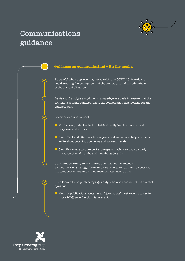

# **Communications guidance**



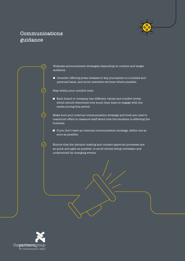

### **Communications guidance**

Evaluate announcement strategies depending on content and target audience.

Consider offering press releases to key journalists on a limited and personal basis, and avoid newswire services where possible.

Stay within your comfort zone

Each brand or company has different values and comfort levels which should determine how much they want to engage with the media during this period.

Make sure your internal communication strategy and tools are used to maximum effect to reassure staff about how the situation is affecting the business.

 $\blacksquare$  If you don't have an internal communication strategy, define one as soon as possible.

Ensure that the decision making and content approval processes are as quick and agile as possible, to avoid stories being overtaken and undermined by changing events.

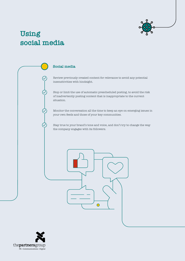

# **Using social media**



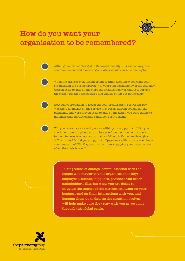## **How do you want your organisation to be remembered?**

Although much has changed in the world recently, it is still moving, and communications and marketing activities should continue moving too.

When the crisis is over, it's important to think about how you want your organisation to be remembered. Will your staff speak highly of the way they were kept up to date on the steps the organisation was taking to survive the crisis? Did they feel engaged and valued, or left out in the cold?

How will your customers feel about your organisation, post Covid-19? Was there an impact on the service they received from you during the pandemic, and were they kept up to date on the action you were taking to minimise that disruption and continue to serve them?

Will you be seen as a valued partner within your supply chain? Did you continue to pay suppliers within the agreed payment terms, or speak to them to negotiate new terms that would help both parties through a difficult time? Or did you simply cut off payments with no prior warning or communication? Will they want to continue supplying your organisation when the crisis is over?

**During times of change, communication with the people who matter to your organisation is key: employees, clients, suppliers, partners and other stakeholders. Sharing what you are doing to mitigate the impact of the current situation on your business and on their interactions with you, and keeping them up to date as the situation evolves, will help make sure they stay with you as we come through this global crisis.**

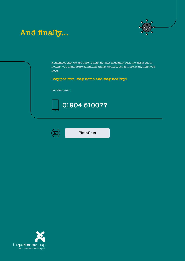

# **And finally...**

Remember that we are here to help, not just in dealing with the crisis but in helping you plan future communications. Get in touch if there is anything you need.

**Stay positive, stay home and stay healthy!**

Contact us on:





**[Email us](mailto:karen%40partners-group.co.uk?subject=)**